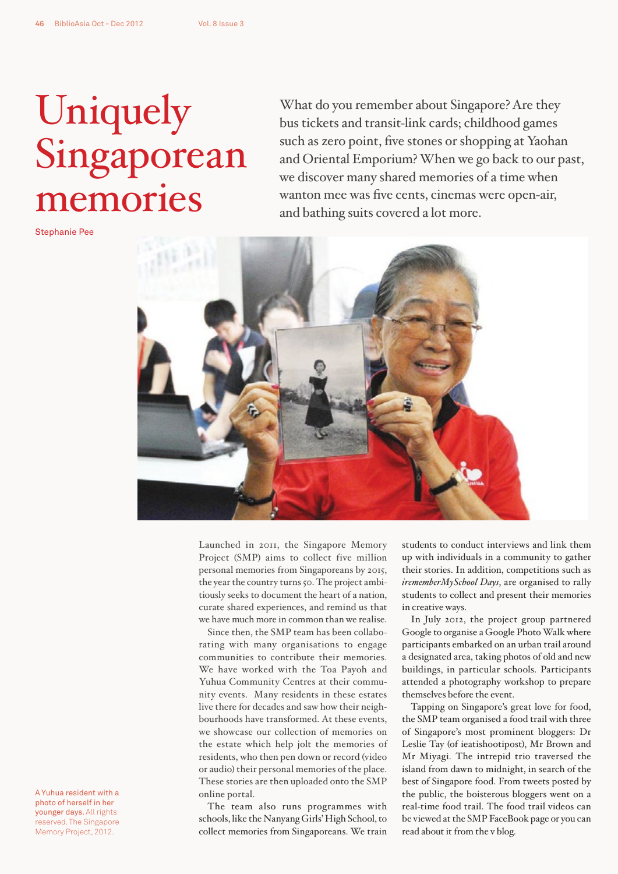## Uniquely Singaporean memories

Stephanie Pee

What do you remember about Singapore? Are they bus tickets and transit-link cards; childhood games such as zero point, five stones or shopping at Yaohan and Oriental Emporium? When we go back to our past, we discover many shared memories of a time when wanton mee was five cents, cinemas were open-air, and bathing suits covered a lot more.



Launched in 2011, the Singapore Memory Project (SMP) aims to collect five million personal memories from Singaporeans by 2015, the year the country turns 50. The project ambitiously seeks to document the heart of a nation, curate shared experiences, and remind us that we have much more in common than we realise.

Since then, the SMP team has been collaborating with many organisations to engage communities to contribute their memories. We have worked with the Toa Payoh and Yuhua Community Centres at their community events. Many residents in these estates live there for decades and saw how their neighbourhoods have transformed. At these events, we showcase our collection of memories on the estate which help jolt the memories of residents, who then pen down or record (video or audio) their personal memories of the place. These stories are then uploaded onto the SMP online portal.

The team also runs programmes with schools, like the Nanyang Girls' High School, to collect memories from Singaporeans. We train students to conduct interviews and link them up with individuals in a community to gather their stories. In addition, competitions such as *irememberMySchool Days*, are organised to rally students to collect and present their memories in creative ways.

In July 2012, the project group partnered Google to organise a Google Photo Walk where participants embarked on an urban trail around a designated area, taking photos of old and new buildings, in particular schools. Participants attended a photography workshop to prepare themselves before the event.

Tapping on Singapore's great love for food, the SMP team organised a food trail with three of Singapore's most prominent bloggers: Dr Leslie Tay (of ieatishootipost), Mr Brown and Mr Miyagi. The intrepid trio traversed the island from dawn to midnight, in search of the best of Singapore food. From tweets posted by the public, the boisterous bloggers went on a real-time food trail. The food trail videos can be viewed at the SMP FaceBook page or you can read about it from the v blog.

A Yuhua resident with a photo of herself in her younger days. All rights reserved. The Singapore Memory Project, 2012.